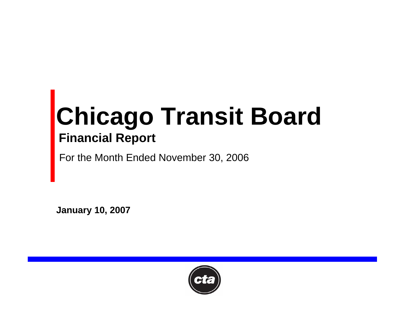# **Chicago Transit Board Financial Report**

For the Month Ended November 30, 2006

**January 10, 2007**

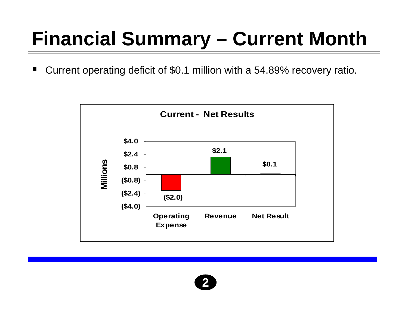# **Financial Summary – Current Month**

 $\blacksquare$ Current operating deficit of \$0.1 million with a 54.89% recovery ratio.



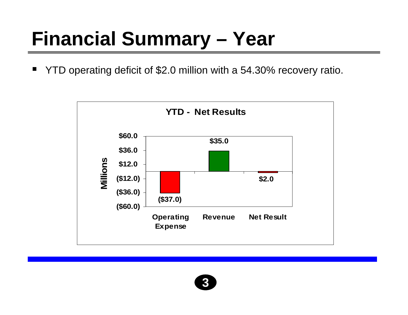### **Financial Summary – Year**

 $\blacksquare$ YTD operating deficit of \$2.0 million with a 54.30% recovery ratio.



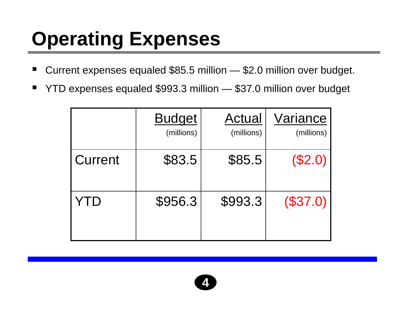# **Operating Expenses**

- ٠ ■ Current expenses equaled \$85.5 million — \$2.0 million over budget.
- ٠ YTD expenses equaled \$993.3 million — \$37.0 million over budget

|         | <b>Budget</b><br>(millions) | <b>Actual</b><br>(millions) | Variance<br>(millions) |
|---------|-----------------------------|-----------------------------|------------------------|
| Current | \$83.5                      | \$85.5                      | (\$2.0)                |
| YTD     | \$956.3                     | \$993.3                     | (\$37.0)               |

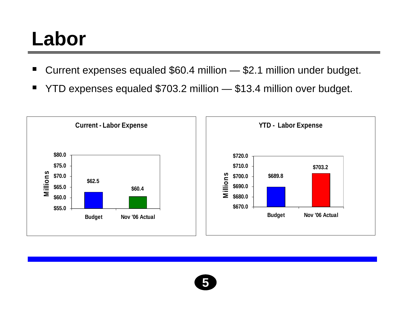### **Labor**

- ٠ Current expenses equaled \$60.4 million — \$2.1 million under budget.
- ٠ YTD expenses equaled \$703.2 million — \$13.4 million over budget.



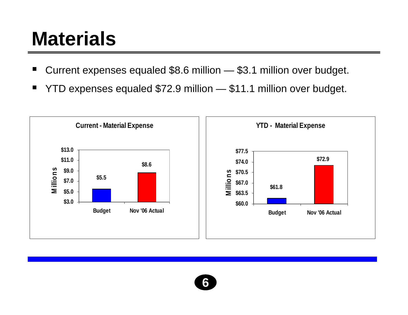#### **Materials**

- ٠ Current expenses equaled \$8.6 million — \$3.1 million over budget.
- ٠ YTD expenses equaled \$72.9 million — \$11.1 million over budget.



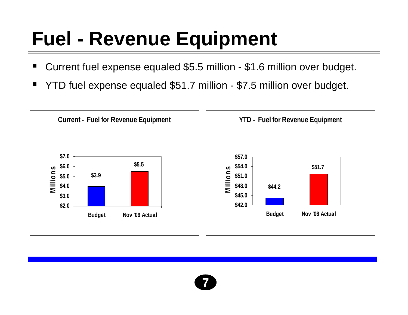### **Fuel - Revenue Equipment**

- ٠ Current fuel expense equaled \$5.5 million - \$1.6 million over budget.
- ٠ YTD fuel expense equaled \$51.7 million - \$7.5 million over budget.



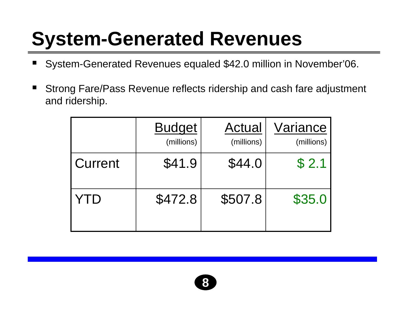### **System-Generated Revenues**

- ٠ System-Generated Revenues equaled \$42.0 million in November'06.
- ٠ Strong Fare/Pass Revenue reflects ridership and cash fare adjustment and ridership.

|         | <b>Budget</b><br>(millions) | Actual<br>(millions) | Variance<br>(millions) |
|---------|-----------------------------|----------------------|------------------------|
| Current | \$41.9                      | \$44.0               | \$2.1                  |
| YID     | \$472.8                     | \$507.8              | \$35.0                 |